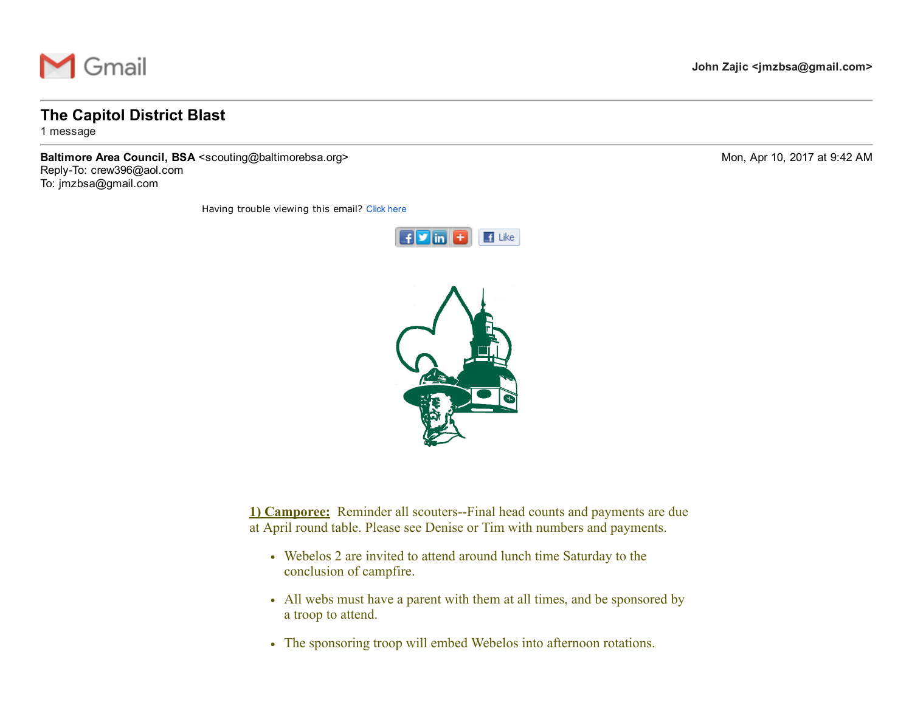

## The Capitol District Blast

1 message

Baltimore Area Council, BSA <scouting@baltimorebsa.org> Mon, Apr 10, 2017 at 9:42 AM Reply-To: crew396@aol.com To: jmzbsa@gmail.com

Having trouble viewing this email? [Click](http://campaign.r20.constantcontact.com/render?m=1102172758584&ca=dfbf878a-7bee-46b5-ad8c-c0d55da6494b) here





1) Camporee: Reminder all scouters--Final head counts and payments are due at April round table. Please see Denise or Tim with numbers and payments.

- Webelos 2 are invited to attend around lunch time Saturday to the conclusion of campfire.
- All webs must have a parent with them at all times, and be sponsored by a troop to attend.
- The sponsoring troop will embed Webelos into afternoon rotations.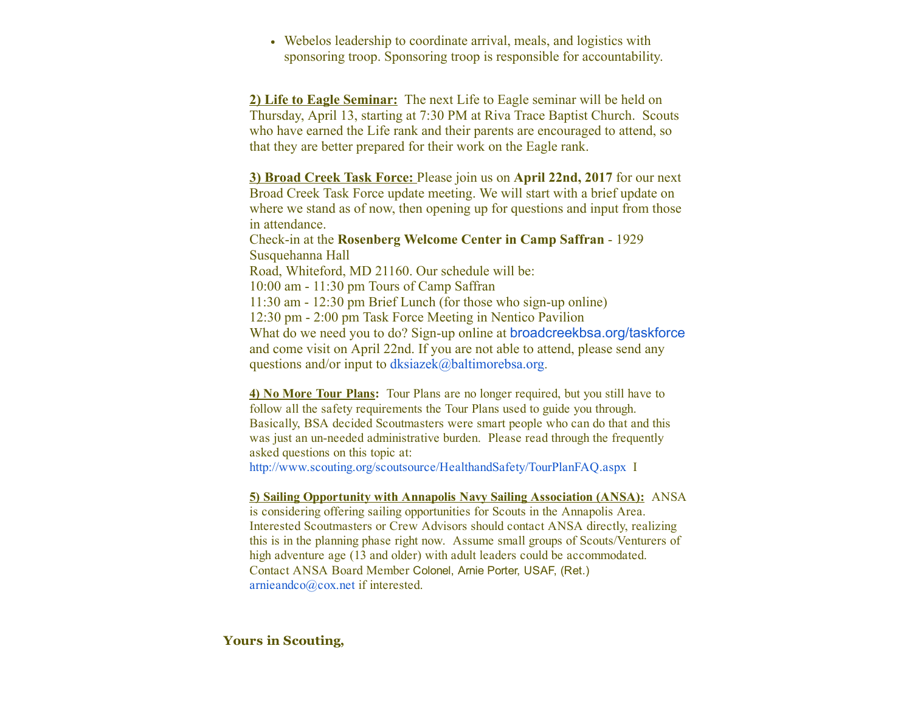Webelos leadership to coordinate arrival, meals, and logistics with sponsoring troop. Sponsoring troop is responsible for accountability.

2) Life to Eagle Seminar: The next Life to Eagle seminar will be held on Thursday, April 13, starting at 7:30 PM at Riva Trace Baptist Church. Scouts who have earned the Life rank and their parents are encouraged to attend, so that they are better prepared for their work on the Eagle rank.

3) Broad Creek Task Force: Please join us on April 22nd, 2017 for our next Broad Creek Task Force update meeting. We will start with a brief update on where we stand as of now, then opening up for questions and input from those in attendance.

Check-in at the Rosenberg Welcome Center in Camp Saffran - 1929 Susquehanna Hall Road, Whiteford, MD 21160. Our schedule will be: 10:00 am 11:30 pm Tours of Camp Saffran  $11:30$  am  $-12:30$  pm Brief Lunch (for those who sign-up online) 12:30 pm 2:00 pm Task Force Meeting in Nentico Pavilion What do we need you to do? Sign-up online at [broadcreekbsa.org/taskforce](http://broadcreekbsa.org/taskforce) and come visit on April 22nd. If you are not able to attend, please send any

questions and/or input to [dksiazek@baltimorebsa.org](mailto:dksiazek@baltimorebsa.org).

4) No More Tour Plans: Tour Plans are no longer required, but you still have to follow all the safety requirements the Tour Plans used to guide you through. Basically, BSA decided Scoutmasters were smart people who can do that and this was just an un-needed administrative burden. Please read through the frequently asked questions on this topic at:

[http://www.scouting.org/scoutsource/HealthandSafety/TourPlanFAQ.aspx](http://r20.rs6.net/tn.jsp?f=001dIYJE4J-BAS2QTo4KfEB98VI_WNNvTgHTPYTFIG0eX9hBKsFnvDMPdvOfRpEHih3Cc_0ExLt3VoFF-PEPoarpV10rgpPATYmZGR226ZLxU8SRViAdIgzUU6gzX4xYzSJp6KUQ3KO0WXYFZuXW1issDIFas9eGLNQoCPWJN5AAkhLyCHmsovY5m36Caq1uuli8B5Hrrtvh-wnjb9uXGA_wHMi6U5v4lre2wfJfJ10H4A=&c=irhus5wyrZi4nF__tvDXr8Oc3F9ottEDtQrsdsLpJmQi3DzCKqS6ug==&ch=4D3ZDcZgBl3Ms6b2CoM7WgPIcE1lCAsUXPpIuKa14vqiqZMzIAIZ-w==) I

## 5) Sailing Opportunity with Annapolis Navy Sailing Association (ANSA): ANSA

is considering offering sailing opportunities for Scouts in the Annapolis Area. Interested Scoutmasters or Crew Advisors should contact ANSA directly, realizing this is in the planning phase right now. Assume small groups of Scouts/Venturers of high adventure age (13 and older) with adult leaders could be accommodated. Contact ANSA Board Member Colonel, Arnie Porter, USAF, (Ret.) [arnieandco@cox.net](mailto:arnieandco@cox.net) if interested.

## Yours in Scouting,